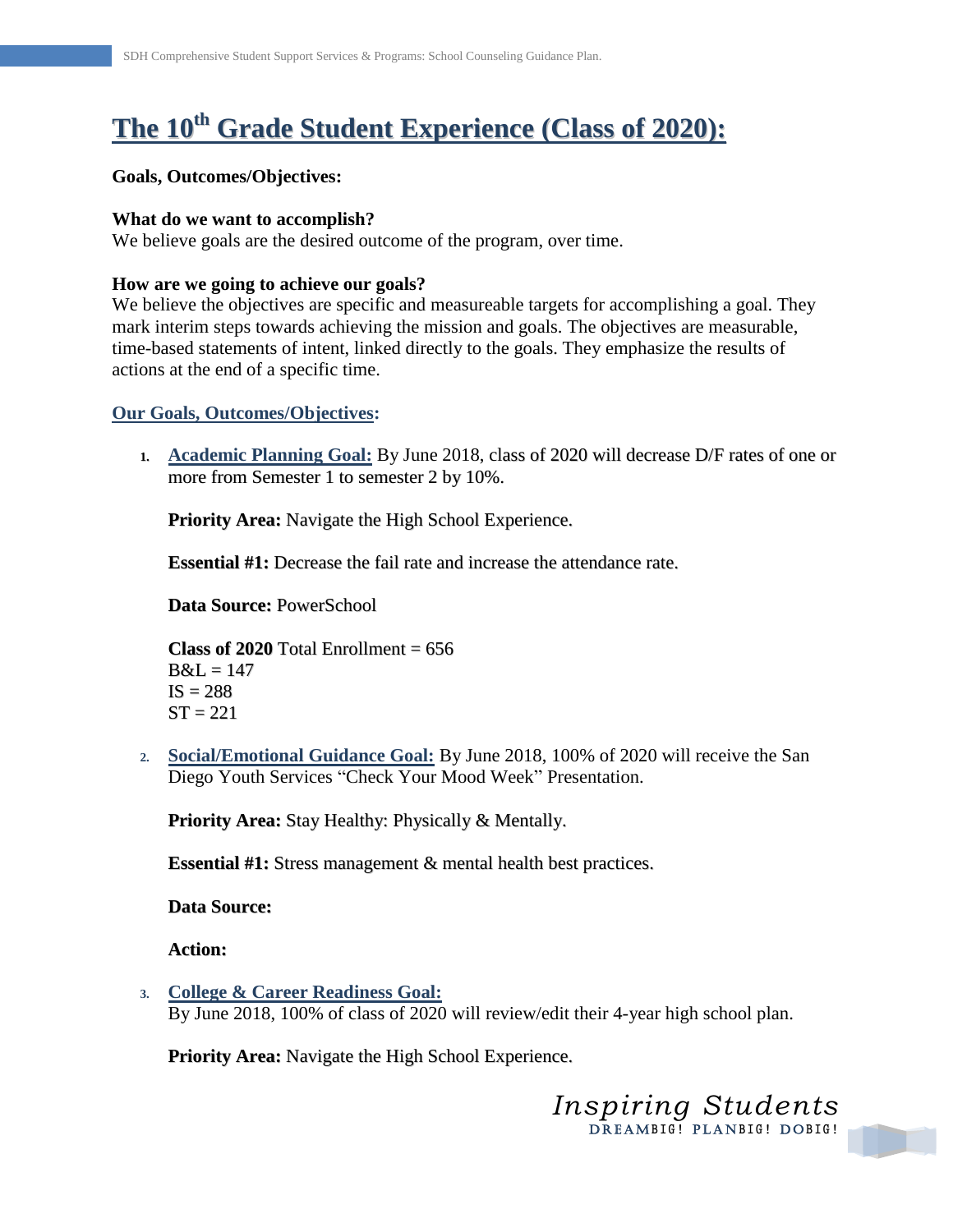# **The 10 th Grade Student Experience (Class of 2020):**

#### **Goals, Outcomes/Objectives:**

#### **What do we want to accomplish?**

We believe goals are the desired outcome of the program, over time.

## **How are we going to achieve our goals?**

We believe the objectives are specific and measureable targets for accomplishing a goal. They mark interim steps towards achieving the mission and goals. The objectives are measurable, time-based statements of intent, linked directly to the goals. They emphasize the results of actions at the end of a specific time.

## **Our Goals, Outcomes/Objectives:**

**1. Academic Planning Goal:** By June 2018, class of 2020 will decrease D/F rates of one or more from Semester 1 to semester 2 by 10%.

**Priority Area:** Navigate the High School Experience.

**Essential #1:** Decrease the fail rate and increase the attendance rate.

**Data Source:** PowerSchool

**Class of 2020** Total Enrollment  $= 656$  $B&L=147$  $IS = 288$  $ST = 221$ 

**2. Social/Emotional Guidance Goal:** By June 2018, 100% of 2020 will receive the San Diego Youth Services "Check Your Mood Week" Presentation.

**Priority Area:** Stay Healthy: Physically & Mentally.

**Essential #1:** Stress management & mental health best practices.

**Data Source:**

**Action:**

**3. College & Career Readiness Goal:** By June 2018, 100% of class of 2020 will review/edit their 4-year high school plan.

**Priority Area:** Navigate the High School Experience.

*Inspiring Students* DREAMBIG! PLANBIG! DOBIG!